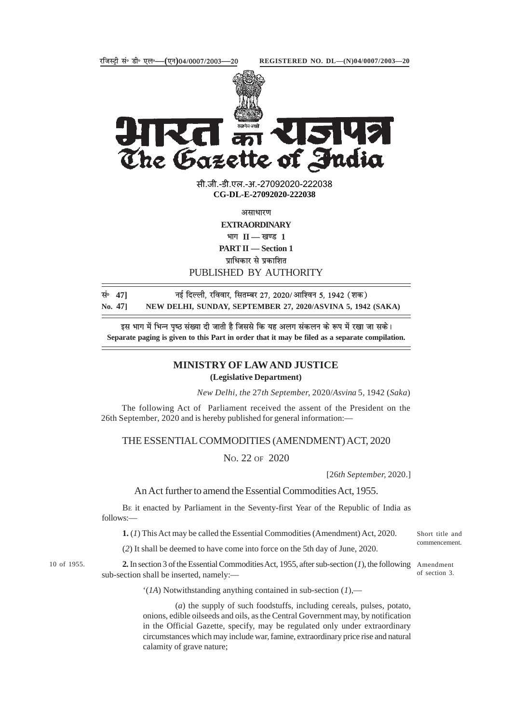

The Gazette of India

सी.जी.-डी.एल.-अ.-27092020-22203<mark>8</mark> **xxxGIDExxx CG-DL-E-27092020-222038**

असाधारण

**EXTRAORDINARY**

 $\mathbf{H} = \mathbf{I}$  **II** — खण्ड 1

**PART II — Section 1**

पाधिकार से प्रकाशित

PUBLISHED BY AUTHORITY

| सं∘ 471 | नई दिल्ली, रविवार, सितम्बर 27, 2020/आश्विन 5, 1942 (शक)     |
|---------|-------------------------------------------------------------|
| No. 471 | NEW DELHI, SUNDAY, SEPTEMBER 27, 2020/ASVINA 5, 1942 (SAKA) |

इस भाग में भिन्न पृष्ठ संख्या दी जाती है जिससे कि यह अलग संकलन के रूप में रखा जा सके। **Separate paging is given to this Part in order that it may be filed as a separate compilation.**

## **MINISTRY OF LAW AND JUSTICE (Legislative Department)**

*New Delhi, the* 27*th September,* 2020/*Asvina* 5*,* 1942 (*Saka*)

The following Act of Parliament received the assent of the President on the 26th September, 2020 and is hereby published for general information:—

THE ESSENTIAL COMMODITIES (AMENDMENT) ACT, 2020

NO. 22 OF 2020

[26*th September,* 2020.]

An Act further to amend the Essential Commodities Act, 1955.

BE it enacted by Parliament in the Seventy-first Year of the Republic of India as follows:—

**1.** (*1*) This Act may be called the Essential Commodities (Amendment) Act, 2020.

(*2*) It shall be deemed to have come into force on the 5th day of June, 2020.

10 of 1955.

**2.** In section 3 of the Essential Commodities Act, 1955, after sub-section (*1*), the following Amendment sub-section shall be inserted, namely:—

commencement.

Short title and

of section 3.

'(*1A*) Notwithstanding anything contained in sub-section (*1*),—

 (*a*) the supply of such foodstuffs, including cereals, pulses, potato, onions, edible oilseeds and oils, as the Central Government may, by notification in the Official Gazette, specify, may be regulated only under extraordinary circumstances which may include war, famine, extraordinary price rise and natural calamity of grave nature;